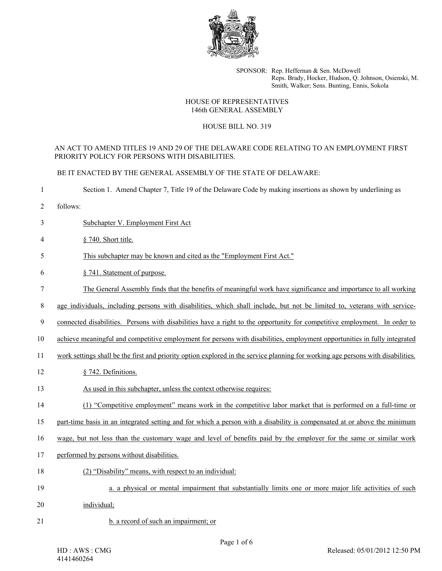

SPONSOR: Rep. Heffernan & Sen. McDowell Reps. Brady, Hocker, Hudson, Q. Johnson, Osienski, M. Smith, Walker; Sens. Bunting, Ennis, Sokola

#### HOUSE OF REPRESENTATIVES 146th GENERAL ASSEMBLY

### HOUSE BILL NO. 319

### AN ACT TO AMEND TITLES 19 AND 29 OF THE DELAWARE CODE RELATING TO AN EMPLOYMENT FIRST PRIORITY POLICY FOR PERSONS WITH DISABILITIES.

BE IT ENACTED BY THE GENERAL ASSEMBLY OF THE STATE OF DELAWARE:

1 Section 1. Amend Chapter 7, Title 19 of the Delaware Code by making insertions as shown by underlining as

- 2 follows:
- 3 Subchapter V. Employment First Act
- 4 § 740. Short title.
- 5 This subchapter may be known and cited as the "Employment First Act."

# 6 § 741. Statement of purpose.

- 7 The General Assembly finds that the benefits of meaningful work have significance and importance to all working
- 8 age individuals, including persons with disabilities, which shall include, but not be limited to, veterans with service-

9 connected disabilities. Persons with disabilities have a right to the opportunity for competitive employment. In order to

10 achieve meaningful and competitive employment for persons with disabilities, employment opportunities in fully integrated

- 11 work settings shall be the first and priority option explored in the service planning for working age persons with disabilities.
- 12 § 742. Definitions.
- 13 As used in this subchapter, unless the context otherwise requires:
- 14 (1) "Competitive employment" means work in the competitive labor market that is performed on a full-time or
- 15 part-time basis in an integrated setting and for which a person with a disability is compensated at or above the minimum

16 wage, but not less than the customary wage and level of benefits paid by the employer for the same or similar work

- 17 performed by persons without disabilities.
- 18 (2) "Disability" means, with respect to an individual:
- 19 a. a physical or mental impairment that substantially limits one or more major life activities of such
- 20 individual;
- 21 b. a record of such an impairment; or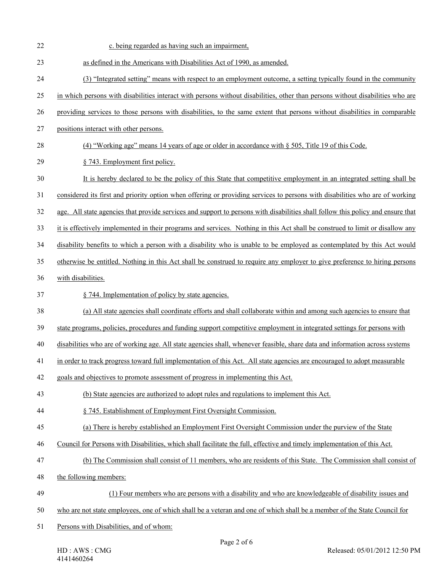| 22 | c. being regarded as having such an impairment,                                                                                 |
|----|---------------------------------------------------------------------------------------------------------------------------------|
| 23 | as defined in the Americans with Disabilities Act of 1990, as amended.                                                          |
| 24 | (3) "Integrated setting" means with respect to an employment outcome, a setting typically found in the community                |
| 25 | in which persons with disabilities interact with persons without disabilities, other than persons without disabilities who are  |
| 26 | providing services to those persons with disabilities, to the same extent that persons without disabilities in comparable       |
| 27 | positions interact with other persons.                                                                                          |
| 28 | (4) "Working age" means 14 years of age or older in accordance with § 505, Title 19 of this Code.                               |
| 29 | § 743. Employment first policy.                                                                                                 |
| 30 | It is hereby declared to be the policy of this State that competitive employment in an integrated setting shall be              |
| 31 | considered its first and priority option when offering or providing services to persons with disabilities who are of working    |
| 32 | age. All state agencies that provide services and support to persons with disabilities shall follow this policy and ensure that |
| 33 | it is effectively implemented in their programs and services. Nothing in this Act shall be construed to limit or disallow any   |
| 34 | disability benefits to which a person with a disability who is unable to be employed as contemplated by this Act would          |
| 35 | otherwise be entitled. Nothing in this Act shall be construed to require any employer to give preference to hiring persons      |
| 36 | with disabilities.                                                                                                              |
| 37 | § 744. Implementation of policy by state agencies.                                                                              |
| 38 | (a) All state agencies shall coordinate efforts and shall collaborate within and among such agencies to ensure that             |
| 39 | state programs, policies, procedures and funding support competitive employment in integrated settings for persons with         |
| 40 | disabilities who are of working age. All state agencies shall, whenever feasible, share data and information across systems     |
| 41 | in order to track progress toward full implementation of this Act. All state agencies are encouraged to adopt measurable        |
| 42 | goals and objectives to promote assessment of progress in implementing this Act.                                                |
| 43 | (b) State agencies are authorized to adopt rules and regulations to implement this Act.                                         |
| 44 | § 745. Establishment of Employment First Oversight Commission.                                                                  |
| 45 | (a) There is hereby established an Employment First Oversight Commission under the purview of the State                         |
| 46 | Council for Persons with Disabilities, which shall facilitate the full, effective and timely implementation of this Act.        |
| 47 | (b) The Commission shall consist of 11 members, who are residents of this State. The Commission shall consist of                |
| 48 | the following members:                                                                                                          |
| 49 | (1) Four members who are persons with a disability and who are knowledgeable of disability issues and                           |
| 50 | who are not state employees, one of which shall be a veteran and one of which shall be a member of the State Council for        |
| 51 | Persons with Disabilities, and of whom:                                                                                         |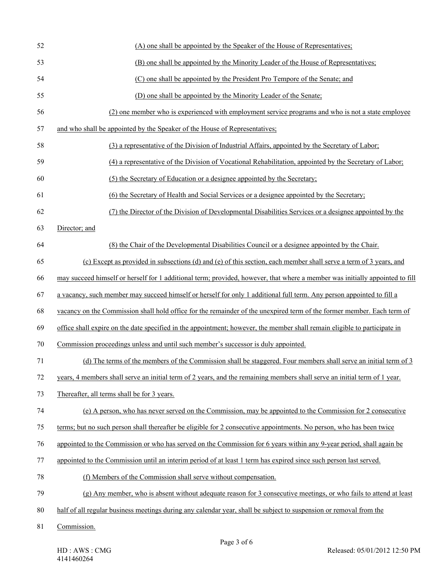| 52 | (A) one shall be appointed by the Speaker of the House of Representatives;                                                   |
|----|------------------------------------------------------------------------------------------------------------------------------|
| 53 | (B) one shall be appointed by the Minority Leader of the House of Representatives;                                           |
| 54 | (C) one shall be appointed by the President Pro Tempore of the Senate; and                                                   |
| 55 | (D) one shall be appointed by the Minority Leader of the Senate;                                                             |
| 56 | (2) one member who is experienced with employment service programs and who is not a state employee                           |
| 57 | and who shall be appointed by the Speaker of the House of Representatives;                                                   |
| 58 | (3) a representative of the Division of Industrial Affairs, appointed by the Secretary of Labor;                             |
| 59 | (4) a representative of the Division of Vocational Rehabilitation, appointed by the Secretary of Labor;                      |
| 60 | (5) the Secretary of Education or a designee appointed by the Secretary;                                                     |
| 61 | (6) the Secretary of Health and Social Services or a designee appointed by the Secretary;                                    |
| 62 | (7) the Director of the Division of Developmental Disabilities Services or a designee appointed by the                       |
| 63 | Director; and                                                                                                                |
| 64 | (8) the Chair of the Developmental Disabilities Council or a designee appointed by the Chair.                                |
| 65 | (c) Except as provided in subsections (d) and (e) of this section, each member shall serve a term of 3 years, and            |
| 66 | may succeed himself or herself for 1 additional term; provided, however, that where a member was initially appointed to fill |
| 67 | a vacancy, such member may succeed himself or herself for only 1 additional full term. Any person appointed to fill a        |
| 68 | vacancy on the Commission shall hold office for the remainder of the unexpired term of the former member. Each term of       |
| 69 | office shall expire on the date specified in the appointment; however, the member shall remain eligible to participate in    |
| 70 | Commission proceedings unless and until such member's successor is duly appointed.                                           |
| 71 | (d) The terms of the members of the Commission shall be staggered. Four members shall serve an initial term of 3             |
| 72 | years, 4 members shall serve an initial term of 2 years, and the remaining members shall serve an initial term of 1 year.    |
| 73 | Thereafter, all terms shall be for 3 years.                                                                                  |
| 74 | (e) A person, who has never served on the Commission, may be appointed to the Commission for 2 consecutive                   |
| 75 | terms; but no such person shall thereafter be eligible for 2 consecutive appointments. No person, who has been twice         |
| 76 | appointed to the Commission or who has served on the Commission for 6 years within any 9-year period, shall again be         |
| 77 | appointed to the Commission until an interim period of at least 1 term has expired since such person last served.            |
| 78 | (f) Members of the Commission shall serve without compensation.                                                              |
| 79 | (g) Any member, who is absent without adequate reason for 3 consecutive meetings, or who fails to attend at least            |
| 80 | half of all regular business meetings during any calendar year, shall be subject to suspension or removal from the           |
| 81 | Commission.                                                                                                                  |
|    |                                                                                                                              |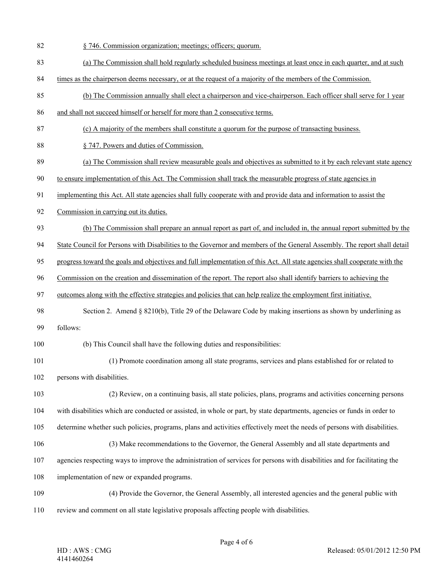- 82 § 746. Commission organization; meetings; officers; quorum.
- 83 (a) The Commission shall hold regularly scheduled business meetings at least once in each quarter, and at such
- 84 times as the chairperson deems necessary, or at the request of a majority of the members of the Commission.
- 85 (b) The Commission annually shall elect a chairperson and vice-chairperson. Each officer shall serve for 1 year
- 86 and shall not succeed himself or herself for more than 2 consecutive terms.
- 87 (c) A majority of the members shall constitute a quorum for the purpose of transacting business.
- 88 § 747. Powers and duties of Commission.
- 89 (a) The Commission shall review measurable goals and objectives as submitted to it by each relevant state agency
- 90 to ensure implementation of this Act. The Commission shall track the measurable progress of state agencies in
- 91 implementing this Act. All state agencies shall fully cooperate with and provide data and information to assist the
- 92 Commission in carrying out its duties.
- 93 (b) The Commission shall prepare an annual report as part of, and included in, the annual report submitted by the
- 94 State Council for Persons with Disabilities to the Governor and members of the General Assembly. The report shall detail
- 95 progress toward the goals and objectives and full implementation of this Act. All state agencies shall cooperate with the
- 96 Commission on the creation and dissemination of the report. The report also shall identify barriers to achieving the
- 97 outcomes along with the effective strategies and policies that can help realize the employment first initiative.
- 98 Section 2. Amend § 8210(b), Title 29 of the Delaware Code by making insertions as shown by underlining as 99 follows:
- 
- 100 (b) This Council shall have the following duties and responsibilities:
- 101 (1) Promote coordination among all state programs, services and plans established for or related to 102 persons with disabilities.
- 103 (2) Review, on a continuing basis, all state policies, plans, programs and activities concerning persons 104 with disabilities which are conducted or assisted, in whole or part, by state departments, agencies or funds in order to 105 determine whether such policies, programs, plans and activities effectively meet the needs of persons with disabilities.
- 106 (3) Make recommendations to the Governor, the General Assembly and all state departments and
- 107 agencies respecting ways to improve the administration of services for persons with disabilities and for facilitating the
- 108 implementation of new or expanded programs.
- 109 (4) Provide the Governor, the General Assembly, all interested agencies and the general public with 110 review and comment on all state legislative proposals affecting people with disabilities.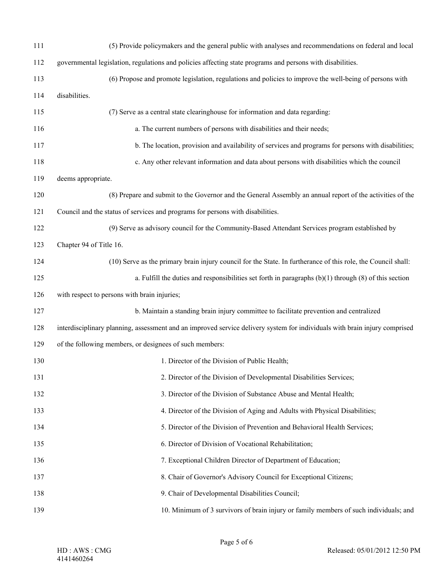| 111 | (5) Provide policymakers and the general public with analyses and recommendations on federal and local                     |
|-----|----------------------------------------------------------------------------------------------------------------------------|
| 112 | governmental legislation, regulations and policies affecting state programs and persons with disabilities.                 |
| 113 | (6) Propose and promote legislation, regulations and policies to improve the well-being of persons with                    |
| 114 | disabilities.                                                                                                              |
| 115 | (7) Serve as a central state clearinghouse for information and data regarding:                                             |
| 116 | a. The current numbers of persons with disabilities and their needs;                                                       |
| 117 | b. The location, provision and availability of services and programs for persons with disabilities;                        |
| 118 | c. Any other relevant information and data about persons with disabilities which the council                               |
| 119 | deems appropriate.                                                                                                         |
| 120 | (8) Prepare and submit to the Governor and the General Assembly an annual report of the activities of the                  |
| 121 | Council and the status of services and programs for persons with disabilities.                                             |
| 122 | (9) Serve as advisory council for the Community-Based Attendant Services program established by                            |
| 123 | Chapter 94 of Title 16.                                                                                                    |
| 124 | (10) Serve as the primary brain injury council for the State. In furtherance of this role, the Council shall:              |
| 125 | a. Fulfill the duties and responsibilities set forth in paragraphs $(b)(1)$ through $(8)$ of this section                  |
| 126 | with respect to persons with brain injuries;                                                                               |
| 127 | b. Maintain a standing brain injury committee to facilitate prevention and centralized                                     |
| 128 | interdisciplinary planning, assessment and an improved service delivery system for individuals with brain injury comprised |
| 129 | of the following members, or designees of such members:                                                                    |
| 130 | 1. Director of the Division of Public Health;                                                                              |
| 131 | 2. Director of the Division of Developmental Disabilities Services;                                                        |
| 132 | 3. Director of the Division of Substance Abuse and Mental Health;                                                          |
| 133 | 4. Director of the Division of Aging and Adults with Physical Disabilities;                                                |
| 134 | 5. Director of the Division of Prevention and Behavioral Health Services;                                                  |
| 135 | 6. Director of Division of Vocational Rehabilitation;                                                                      |
| 136 | 7. Exceptional Children Director of Department of Education;                                                               |
| 137 | 8. Chair of Governor's Advisory Council for Exceptional Citizens;                                                          |
| 138 | 9. Chair of Developmental Disabilities Council;                                                                            |
| 139 | 10. Minimum of 3 survivors of brain injury or family members of such individuals; and                                      |